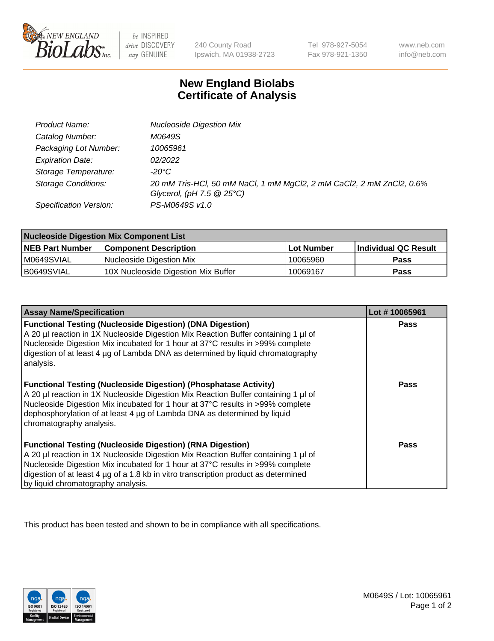

 $be$  INSPIRED *drive* DISCOVERY stay GENUINE

240 County Road Ipswich, MA 01938-2723 Tel 978-927-5054 Fax 978-921-1350 www.neb.com info@neb.com

## **New England Biolabs Certificate of Analysis**

| Product Name:              | <b>Nucleoside Digestion Mix</b>                                                                               |
|----------------------------|---------------------------------------------------------------------------------------------------------------|
| Catalog Number:            | M0649S                                                                                                        |
| Packaging Lot Number:      | 10065961                                                                                                      |
| <b>Expiration Date:</b>    | 02/2022                                                                                                       |
| Storage Temperature:       | -20°C                                                                                                         |
| <b>Storage Conditions:</b> | 20 mM Tris-HCl, 50 mM NaCl, 1 mM MgCl2, 2 mM CaCl2, 2 mM ZnCl2, 0.6%<br>Glycerol, (pH $7.5 \ @ 25^{\circ}C$ ) |
| Specification Version:     | PS-M0649S v1.0                                                                                                |

| <b>Nucleoside Digestion Mix Component List</b> |                                     |            |                      |  |
|------------------------------------------------|-------------------------------------|------------|----------------------|--|
| <b>NEB Part Number</b>                         | <b>Component Description</b>        | Lot Number | Individual QC Result |  |
| M0649SVIAL                                     | Nucleoside Digestion Mix            | 10065960   | Pass                 |  |
| B0649SVIAL                                     | 10X Nucleoside Digestion Mix Buffer | 10069167   | Pass                 |  |

| <b>Assay Name/Specification</b>                                                                                                                                                                                                                                                                                                                                       | Lot #10065961 |
|-----------------------------------------------------------------------------------------------------------------------------------------------------------------------------------------------------------------------------------------------------------------------------------------------------------------------------------------------------------------------|---------------|
| <b>Functional Testing (Nucleoside Digestion) (DNA Digestion)</b><br>A 20 µl reaction in 1X Nucleoside Digestion Mix Reaction Buffer containing 1 µl of<br>Nucleoside Digestion Mix incubated for 1 hour at 37°C results in >99% complete<br>digestion of at least 4 µg of Lambda DNA as determined by liguid chromatography<br>analysis.                              | <b>Pass</b>   |
| <b>Functional Testing (Nucleoside Digestion) (Phosphatase Activity)</b><br>A 20 µl reaction in 1X Nucleoside Digestion Mix Reaction Buffer containing 1 µl of<br>Nucleoside Digestion Mix incubated for 1 hour at 37°C results in >99% complete<br>dephosphorylation of at least 4 µg of Lambda DNA as determined by liquid<br>chromatography analysis.               | <b>Pass</b>   |
| <b>Functional Testing (Nucleoside Digestion) (RNA Digestion)</b><br>A 20 µl reaction in 1X Nucleoside Digestion Mix Reaction Buffer containing 1 µl of<br>Nucleoside Digestion Mix incubated for 1 hour at 37°C results in >99% complete<br>digestion of at least 4 µg of a 1.8 kb in vitro transcription product as determined<br>by liquid chromatography analysis. | Pass          |

This product has been tested and shown to be in compliance with all specifications.